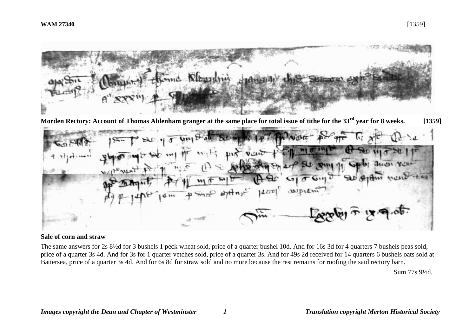

**Morden Rectory: Account of Thomas Aldenham granger at the same place for total issue of tithe for the 33rd year for 8 weeks. [1359]**



### **Sale of corn and straw**

The same answers for 2s 8<sup>1</sup>/<sub>2</sub>d for 3 bushels 1 peck wheat sold, price of a <del>quarter</del> bushel 10d. And for 16s 3d for 4 quarters 7 bushels peas sold, price of a quarter 3s 4d. And for 3s for 1 quarter vetches sold, price of a quarter 3s. And for 49s 2d received for 14 quarters 6 bushels oats sold at Battersea, price of a quarter 3s 4d. And for 6s 8d for straw sold and no more because the rest remains for roofing the said rectory barn.

Sum 77s 9½d.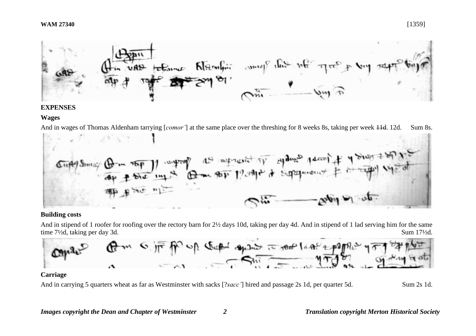

#### **EXPENSES**

## **Wages**

And in wages of Thomas Aldenham tarrying [*comor'*] at the same place over the threshing for 8 weeks 8s, taking per week 11d. 12d. Sum 8s.



### **Building costs**

And in stipend of 1 roofer for roofing over the rectory barn for 2½ days 10d, taking per day 4d. And in stipend of 1 lad serving him for the same time 7<sup>1</sup>/2d, taking per day 3d. Sum 17<sup>1</sup>/2d.



### **Carriage**

And in carrying 5 quarters wheat as far as Westminster with sacks [?*sacc*'] hired and passage 2s 1d, per quarter 5d. Sum 2s 1d.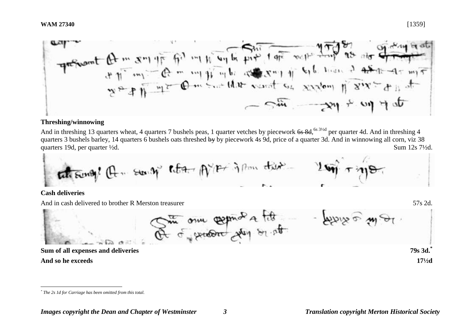

#### **Threshing/winnowing**

And in threshing 13 quarters wheat, 4 quarters 7 bushels peas, 1 quarter vetches by piecework 6s 8d, <sup>6s 31/2d</sup> per quarter 4d. And in threshing 4 quarters 3 bushels barley, 14 quarters 6 bushels oats threshed by by piecework 4s 9d, price of a quarter 3d. And in winnowing all corn, viz 38 quarters 19d, per quarter  $\frac{1}{2}d$ . Sum 12s 7<sup>1/2</sup>d.

tate sung! Of ... Sur. 9" Robary AVIET in Pour observed

#### **Cash deliveries**

And in cash delivered to brother R Merston treasurer 57s 2d.

Of  $\sigma$  successor the second of the second the second second the second second second second second second second second second second second second second second second second second second second second second second sec **Sum of all expenses and deliveries 79s 3d.\***

**And so he exceeds 17½d** 

<u>.</u>

*<sup>\*</sup> The 2s 1d for Carriage has been omitted from this total.*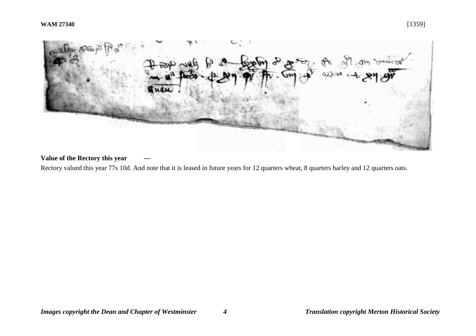

# **Value of the Rectory this year**

Rectory valued this year 77s 10d. And note that it is leased in future years for 12 quarters wheat, 8 quarters barley and 12 quarters oats.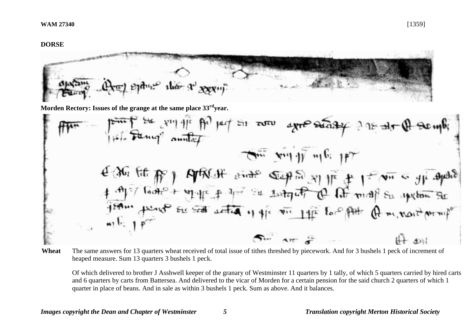$e^{\varphi}$  the  $\Phi^{\downarrow}$  is

**Morden Rectory: Issues of the grange at the same place 33rdyear.** 

\n
$$
\frac{1}{100}
$$
  $\frac{1}{100}$   $\frac{1}{100}$   $\frac{1}{100}$   $\frac{1}{100}$   $\frac{1}{100}$   $\frac{1}{100}$   $\frac{1}{100}$   $\frac{1}{100}$   $\frac{1}{100}$   $\frac{1}{100}$   $\frac{1}{100}$   $\frac{1}{100}$   $\frac{1}{100}$   $\frac{1}{100}$   $\frac{1}{100}$   $\frac{1}{100}$   $\frac{1}{100}$   $\frac{1}{100}$   $\frac{1}{100}$   $\frac{1}{100}$   $\frac{1}{100}$   $\frac{1}{100}$   $\frac{1}{100}$   $\frac{1}{100}$   $\frac{1}{100}$   $\frac{1}{100}$   $\frac{1}{100}$   $\frac{1}{100}$   $\frac{1}{100}$   $\frac{1}{100}$   $\frac{1}{100}$   $\frac{1}{100}$   $\frac{1}{100}$   $\frac{1}{100}$   $\frac{1}{100}$   $\frac{1}{100}$   $\frac{1}{100}$   $\frac{1}{100}$   $\frac{1}{100}$   $\frac{1}{100}$   $\frac{1}{100}$   $\frac{1}{100}$   $\frac{1}{100}$   $\frac{1}{100}$   $\frac{1}{100}$   $\frac{1}{100}$   $\frac{1}{100}$   $\frac{1}{100}$   $\frac{1}{100}$   $\frac{1}{100}$   $\frac{1}{100}$   $\frac{1}{100}$   $\frac{1}{100}$   $\frac{1}{100}$   $\frac{1}{100}$   $\frac{1}{100}$   $\frac{1}{100}$   $\frac{1}{1$ 

Wheat The same answers for 13 quarters wheat received of total issue of tithes threshed by piecework. And for 3 bushels 1 peck of increment of heaped measure. Sum 13 quarters 3 bushels 1 peck.

Of which delivered to brother J Asshwell keeper of the granary of Westminster 11 quarters by 1 tally, of which 5 quarters carried by hired carts and 6 quarters by carts from Battersea. And delivered to the vicar of Morden for a certain pension for the said church 2 quarters of which 1 quarter in place of beans. And in sale as within 3 bushels 1 peck. Sum as above. And it balances.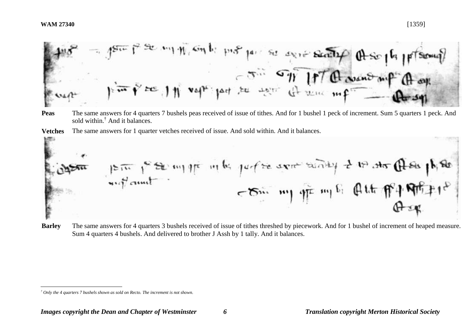<u>.</u>



**Peas** The same answers for 4 quarters 7 bushels peas received of issue of tithes. And for 1 bushel 1 peck of increment. Sum 5 quarters 1 peck. And sold within.† And it balances.





**Barley** The same answers for 4 quarters 3 bushels received of issue of tithes threshed by piecework. And for 1 bushel of increment of heaped measure. Sum 4 quarters 4 bushels. And delivered to brother J Assh by 1 tally. And it balances.

*<sup>†</sup> Only the 4 quarters 7 bushels shown as sold on Recto. The increment is not shown.*